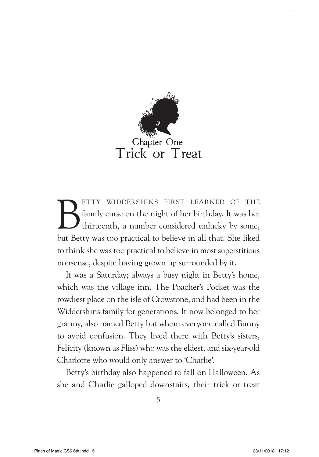

ETTY WIDDERSHINS FIRST LEARNED OF T<br>family curse on the night of her birthday. It was<br>thirteenth, a number considered unlucky by so family curse on the night of her birthday. It was her thirteenth, a number considered unlucky by some, but Betty was too practical to believe in all that. She liked to think she was too practical to believe in most superstitious nonsense, despite having grown up surrounded by it.

It was a Saturday; always a busy night in Betty's home, which was the village inn. The Poacher's Pocket was the rowdiest place on the isle of Crowstone, and had been in the Widdershins family for generations. It now belonged to her granny, also named Betty but whom everyone called Bunny to avoid confusion. They lived there with Betty's sisters, Felicity (known as Fliss) who was the eldest, and six-year-old Charlotte who would only answer to 'Charlie'.

Betty's birthday also happened to fall on Halloween. As she and Charlie galloped downstairs, their trick or treat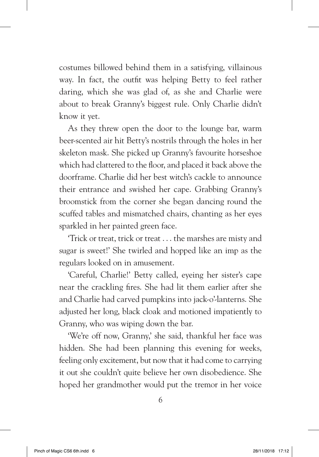costumes billowed behind them in a satisfying, villainous way. In fact, the outfit was helping Betty to feel rather daring, which she was glad of, as she and Charlie were about to break Granny's biggest rule. Only Charlie didn't know it yet.

As they threw open the door to the lounge bar, warm beer-scented air hit Betty's nostrils through the holes in her skeleton mask. She picked up Granny's favourite horseshoe which had clattered to the floor, and placed it back above the doorframe. Charlie did her best witch's cackle to announce their entrance and swished her cape. Grabbing Granny's broomstick from the corner she began dancing round the scuffed tables and mismatched chairs, chanting as her eyes sparkled in her painted green face.

'Trick or treat, trick or treat . . . the marshes are misty and sugar is sweet!' She twirled and hopped like an imp as the regulars looked on in amusement.

'Careful, Charlie!' Betty called, eyeing her sister's cape near the crackling fires. She had lit them earlier after she and Charlie had carved pumpkins into jack-o'-lanterns. She adjusted her long, black cloak and motioned impatiently to Granny, who was wiping down the bar.

'We're off now, Granny,' she said, thankful her face was hidden. She had been planning this evening for weeks, feeling only excitement, but now that it had come to carrying it out she couldn't quite believe her own disobedience. She hoped her grandmother would put the tremor in her voice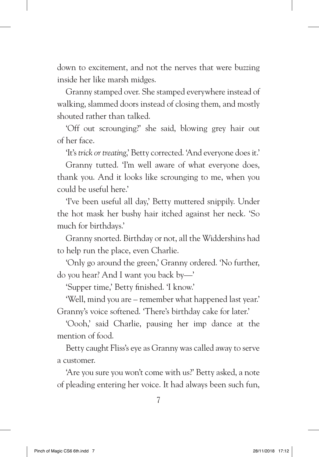down to excitement, and not the nerves that were buzzing inside her like marsh midges.

Granny stamped over. She stamped everywhere instead of walking, slammed doors instead of closing them, and mostly shouted rather than talked.

'Off out scrounging?' she said, blowing grey hair out of her face.

'It's *trick or treating*,' Betty corrected. 'And everyone does it.'

Granny tutted. 'I'm well aware of what everyone does, thank you. And it looks like scrounging to me, when you could be useful here.'

'I've been useful all day,' Betty muttered snippily. Under the hot mask her bushy hair itched against her neck. 'So much for birthdays.'

Granny snorted. Birthday or not, all the Widdershins had to help run the place, even Charlie.

'Only go around the green,' Granny ordered. 'No further, do you hear? And I want you back by—'

'Supper time,' Betty finished. 'I know.'

'Well, mind you are – remember what happened last year.' Granny's voice softened. 'There's birthday cake for later.'

'Oooh,' said Charlie, pausing her imp dance at the mention of food.

Betty caught Fliss's eye as Granny was called away to serve a customer.

'Are you sure you won't come with us?' Betty asked, a note of pleading entering her voice. It had always been such fun,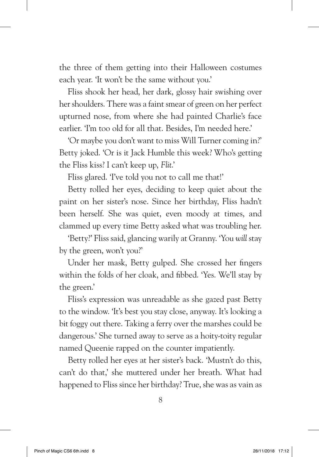the three of them getting into their Halloween costumes each year. 'It won't be the same without you.'

Fliss shook her head, her dark, glossy hair swishing over her shoulders. There was a faint smear of green on her perfect upturned nose, from where she had painted Charlie's face earlier. 'I'm too old for all that. Besides, I'm needed here.'

'Or maybe you don't want to miss Will Turner coming in?' Betty joked. 'Or is it Jack Humble this week? Who's getting the Fliss kiss? I can't keep up, *Flit*.'

Fliss glared. 'I've told you not to call me that!'

Betty rolled her eyes, deciding to keep quiet about the paint on her sister's nose. Since her birthday, Fliss hadn't been herself. She was quiet, even moody at times, and clammed up every time Betty asked what was troubling her.

'Betty?' Fliss said, glancing warily at Granny. 'You *will* stay by the green, won't you?'

Under her mask, Betty gulped. She crossed her fingers within the folds of her cloak, and fibbed. 'Yes. We'll stay by the green.'

Fliss's expression was unreadable as she gazed past Betty to the window. 'It's best you stay close, anyway. It's looking a bit foggy out there. Taking a ferry over the marshes could be dangerous.' She turned away to serve as a hoity-toity regular named Queenie rapped on the counter impatiently.

Betty rolled her eyes at her sister's back. 'Mustn't do this, can't do that,' she muttered under her breath. What had happened to Fliss since her birthday? True, she was as vain as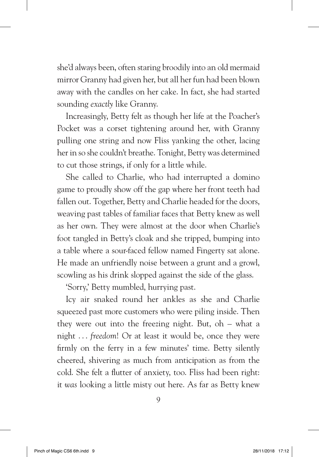she'd always been, often staring broodily into an old mermaid mirror Granny had given her, but all her fun had been blown away with the candles on her cake. In fact, she had started sounding *exactly* like Granny.

Increasingly, Betty felt as though her life at the Poacher's Pocket was a corset tightening around her, with Granny pulling one string and now Fliss yanking the other, lacing her in so she couldn't breathe. Tonight, Betty was determined to cut those strings, if only for a little while.

She called to Charlie, who had interrupted a domino game to proudly show off the gap where her front teeth had fallen out. Together, Betty and Charlie headed for the doors, weaving past tables of familiar faces that Betty knew as well as her own. They were almost at the door when Charlie's foot tangled in Betty's cloak and she tripped, bumping into a table where a sour-faced fellow named Fingerty sat alone. He made an unfriendly noise between a grunt and a growl, scowling as his drink slopped against the side of the glass.

'Sorry,' Betty mumbled, hurrying past.

Icy air snaked round her ankles as she and Charlie squeezed past more customers who were piling inside. Then they were out into the freezing night. But,  $oh - what$  a night . . . *freedom*! Or at least it would be, once they were firmly on the ferry in a few minutes' time. Betty silently cheered, shivering as much from anticipation as from the cold. She felt a flutter of anxiety, too. Fliss had been right: it *was* looking a little misty out here. As far as Betty knew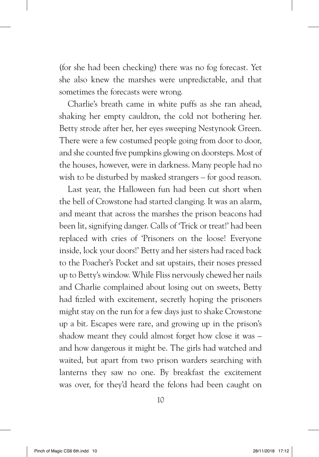(for she had been checking) there was no fog forecast. Yet she also knew the marshes were unpredictable, and that sometimes the forecasts were wrong.

Charlie's breath came in white puffs as she ran ahead, shaking her empty cauldron, the cold not bothering her. Betty strode after her, her eyes sweeping Nestynook Green. There were a few costumed people going from door to door, and she counted five pumpkins glowing on doorsteps. Most of the houses, however, were in darkness. Many people had no wish to be disturbed by masked strangers – for good reason.

Last year, the Halloween fun had been cut short when the bell of Crowstone had started clanging. It was an alarm, and meant that across the marshes the prison beacons had been lit, signifying danger. Calls of 'Trick or treat!' had been replaced with cries of 'Prisoners on the loose! Everyone inside, lock your doors!' Betty and her sisters had raced back to the Poacher's Pocket and sat upstairs, their noses pressed up to Betty's window. While Fliss nervously chewed her nails and Charlie complained about losing out on sweets, Betty had fizzled with excitement, secretly hoping the prisoners might stay on the run for a few days just to shake Crowstone up a bit. Escapes were rare, and growing up in the prison's shadow meant they could almost forget how close it was – and how dangerous it might be. The girls had watched and waited, but apart from two prison warders searching with lanterns they saw no one. By breakfast the excitement was over, for they'd heard the felons had been caught on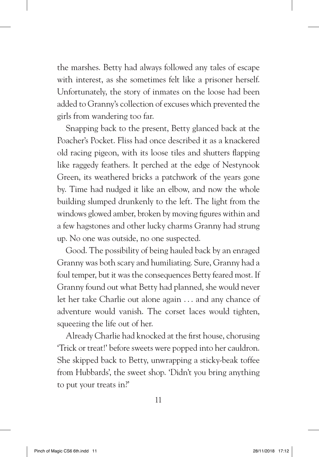the marshes. Betty had always followed any tales of escape with interest, as she sometimes felt like a prisoner herself. Unfortunately, the story of inmates on the loose had been added to Granny's collection of excuses which prevented the girls from wandering too far.

Snapping back to the present, Betty glanced back at the Poacher's Pocket. Fliss had once described it as a knackered old racing pigeon, with its loose tiles and shutters flapping like raggedy feathers. It perched at the edge of Nestynook Green, its weathered bricks a patchwork of the years gone by. Time had nudged it like an elbow, and now the whole building slumped drunkenly to the left. The light from the windows glowed amber, broken by moving figures within and a few hagstones and other lucky charms Granny had strung up. No one was outside, no one suspected.

Good. The possibility of being hauled back by an enraged Granny was both scary and humiliating. Sure, Granny had a foul temper, but it was the consequences Betty feared most. If Granny found out what Betty had planned, she would never let her take Charlie out alone again . . . and any chance of adventure would vanish. The corset laces would tighten, squeezing the life out of her.

Already Charlie had knocked at the first house, chorusing 'Trick or treat!' before sweets were popped into her cauldron. She skipped back to Betty, unwrapping a sticky-beak toffee from Hubbards', the sweet shop. 'Didn't you bring anything to put your treats in?'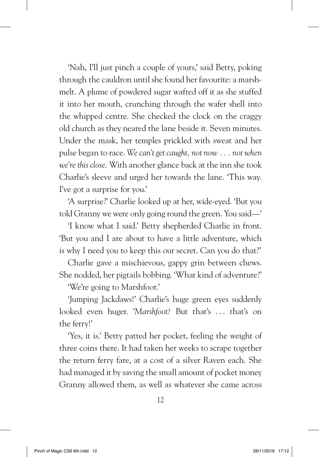'Nah, I'll just pinch a couple of yours,' said Betty, poking through the cauldron until she found her favourite: a marshmelt. A plume of powdered sugar wafted off it as she stuffed it into her mouth, crunching through the wafer shell into the whipped centre. She checked the clock on the craggy old church as they neared the lane beside it. Seven minutes. Under the mask, her temples prickled with sweat and her pulse began to race. *We can't get caught, not now ... not when we're this close.* With another glance back at the inn she took Charlie's sleeve and urged her towards the lane. 'This way. I've got a surprise for you.'

'A surprise?' Charlie looked up at her, wide-eyed. 'But you told Granny we were only going round the green. You said—'

'I know what I said.' Betty shepherded Charlie in front. 'But you and I are about to have a little adventure, which is why I need you to keep this our secret. Can you do that?'

Charlie gave a mischievous, gappy grin between chews. She nodded, her pigtails bobbing. 'What kind of adventure?'

'We're going to Marshfoot.'

'Jumping Jackdaws!' Charlie's huge green eyes suddenly looked even huger. '*Marshfoot*? But that's ... that's on the ferry!'

'Yes, it is.' Betty patted her pocket, feeling the weight of three coins there. It had taken her weeks to scrape together the return ferry fare, at a cost of a silver Raven each. She had managed it by saving the small amount of pocket money Granny allowed them, as well as whatever she came across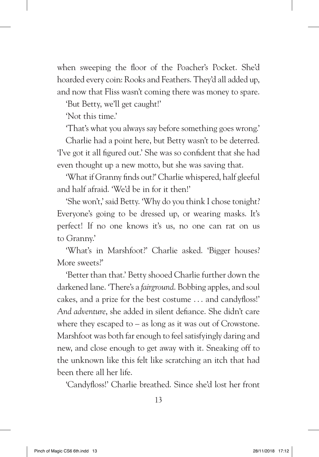when sweeping the floor of the Poacher's Pocket. She'd hoarded every coin: Rooks and Feathers. They'd all added up, and now that Fliss wasn't coming there was money to spare.

'But Betty, we'll get caught!'

'Not this time.'

'That's what you always say before something goes wrong.'

Charlie had a point here, but Betty wasn't to be deterred. 'I've got it all figured out.' She was so confident that she had even thought up a new motto, but she was saving that.

'What if Granny finds out?' Charlie whispered, half gleeful and half afraid. 'We'd be in for it then!'

'She won't,' said Betty. 'Why do you think I chose tonight? Everyone's going to be dressed up, or wearing masks. It's perfect! If no one knows it's us, no one can rat on us to Granny.'

'What's in Marshfoot?' Charlie asked. 'Bigger houses? More sweets?'

'Better than that.' Betty shooed Charlie further down the darkened lane. 'There's a *fairground*. Bobbing apples, and soul cakes, and a prize for the best costume . . . and candyfloss!' *And adventure*, she added in silent defiance. She didn't care where they escaped to – as long as it was out of Crowstone. Marshfoot was both far enough to feel satisfyingly daring and new, and close enough to get away with it. Sneaking off to the unknown like this felt like scratching an itch that had been there all her life.

'Candyfloss!' Charlie breathed. Since she'd lost her front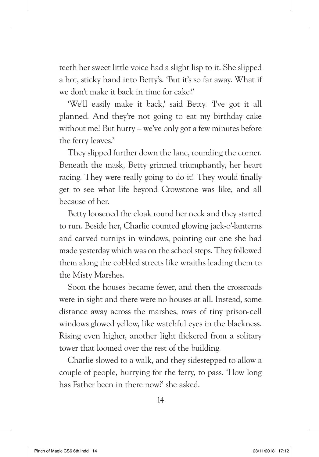teeth her sweet little voice had a slight lisp to it. She slipped a hot, sticky hand into Betty's. 'But it's so far away. What if we don't make it back in time for cake?'

'We'll easily make it back,' said Betty. 'I've got it all planned. And they're not going to eat my birthday cake without me! But hurry – we've only got a few minutes before the ferry leaves.'

They slipped further down the lane, rounding the corner. Beneath the mask, Betty grinned triumphantly, her heart racing. They were really going to do it! They would finally get to see what life beyond Crowstone was like, and all because of her.

Betty loosened the cloak round her neck and they started to run. Beside her, Charlie counted glowing jack-o'-lanterns and carved turnips in windows, pointing out one she had made yesterday which was on the school steps. They followed them along the cobbled streets like wraiths leading them to the Misty Marshes.

Soon the houses became fewer, and then the crossroads were in sight and there were no houses at all. Instead, some distance away across the marshes, rows of tiny prison-cell windows glowed yellow, like watchful eyes in the blackness. Rising even higher, another light flickered from a solitary tower that loomed over the rest of the building.

Charlie slowed to a walk, and they sidestepped to allow a couple of people, hurrying for the ferry, to pass. 'How long has Father been in there now?' she asked.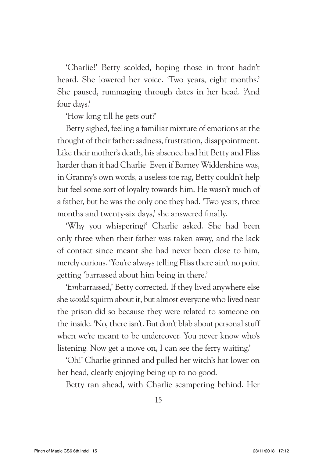'Charlie!' Betty scolded, hoping those in front hadn't heard. She lowered her voice. 'Two years, eight months.' She paused, rummaging through dates in her head. 'And four days.'

'How long till he gets out?'

Betty sighed, feeling a familiar mixture of emotions at the thought of their father: sadness, frustration, disappointment. Like their mother's death, his absence had hit Betty and Fliss harder than it had Charlie. Even if Barney Widdershins was, in Granny's own words, a useless toe rag, Betty couldn't help but feel some sort of loyalty towards him. He wasn't much of a father, but he was the only one they had. 'Two years, three months and twenty-six days,' she answered finally.

'Why you whispering?' Charlie asked. She had been only three when their father was taken away, and the lack of contact since meant she had never been close to him, merely curious. 'You're always telling Fliss there ain't no point getting 'barrassed about him being in there.'

'*Em*barrassed,' Betty corrected. If they lived anywhere else she *would* squirm about it, but almost everyone who lived near the prison did so because they were related to someone on the inside. 'No, there isn't. But don't blab about personal stuff when we're meant to be undercover. You never know who's listening. Now get a move on, I can see the ferry waiting.'

'Oh!' Charlie grinned and pulled her witch's hat lower on her head, clearly enjoying being up to no good.

Betty ran ahead, with Charlie scampering behind. Her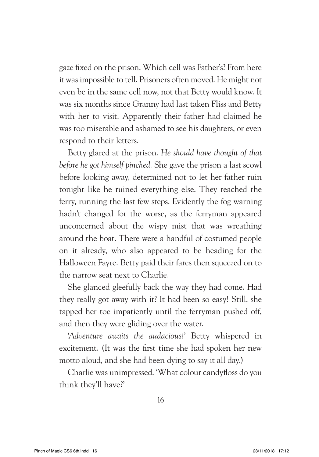gaze fixed on the prison. Which cell was Father's? From here it was impossible to tell. Prisoners often moved. He might not even be in the same cell now, not that Betty would know. It was six months since Granny had last taken Fliss and Betty with her to visit. Apparently their father had claimed he was too miserable and ashamed to see his daughters, or even respond to their letters.

Betty glared at the prison. *He should have thought of that before he got himself pinched*. She gave the prison a last scowl before looking away, determined not to let her father ruin tonight like he ruined everything else. They reached the ferry, running the last few steps. Evidently the fog warning hadn't changed for the worse, as the ferryman appeared unconcerned about the wispy mist that was wreathing around the boat. There were a handful of costumed people on it already, who also appeared to be heading for the Halloween Fayre. Betty paid their fares then squeezed on to the narrow seat next to Charlie.

She glanced gleefully back the way they had come. Had they really got away with it? It had been so easy! Still, she tapped her toe impatiently until the ferryman pushed off, and then they were gliding over the water.

'*Adventure awaits the audacious!*' Betty whispered in excitement. (It was the first time she had spoken her new motto aloud, and she had been dying to say it all day.)

Charlie was unimpressed. 'What colour candyfloss do you think they'll have?'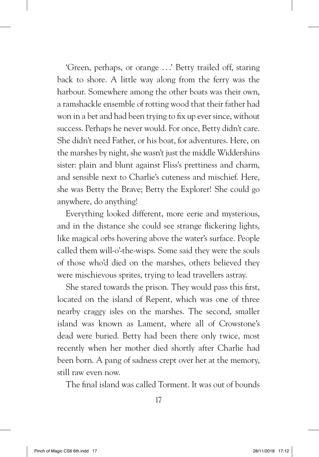'Green, perhaps, or orange . . .' Betty trailed off, staring back to shore. A little way along from the ferry was the harbour. Somewhere among the other boats was their own, a ramshackle ensemble of rotting wood that their father had won in a bet and had been trying to fix up ever since, without success. Perhaps he never would. For once, Betty didn't care. She didn't need Father, or his boat, for adventures. Here, on the marshes by night, she wasn't just the middle Widdershins sister: plain and blunt against Fliss's prettiness and charm, and sensible next to Charlie's cuteness and mischief. Here, she was Betty the Brave; Betty the Explorer! She could go anywhere, do anything!

Everything looked different, more eerie and mysterious, and in the distance she could see strange flickering lights, like magical orbs hovering above the water's surface. People called them will-o'-the-wisps. Some said they were the souls of those who'd died on the marshes, others believed they were mischievous sprites, trying to lead travellers astray.

She stared towards the prison. They would pass this first, located on the island of Repent, which was one of three nearby craggy isles on the marshes. The second, smaller island was known as Lament, where all of Crowstone's dead were buried. Betty had been there only twice, most recently when her mother died shortly after Charlie had been born. A pang of sadness crept over her at the memory, still raw even now.

The final island was called Torment. It was out of bounds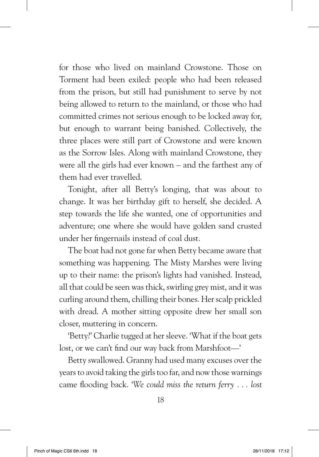for those who lived on mainland Crowstone. Those on Torment had been exiled: people who had been released from the prison, but still had punishment to serve by not being allowed to return to the mainland, or those who had committed crimes not serious enough to be locked away for, but enough to warrant being banished. Collectively, the three places were still part of Crowstone and were known as the Sorrow Isles. Along with mainland Crowstone, they were all the girls had ever known – and the farthest any of them had ever travelled.

Tonight, after all Betty's longing, that was about to change. It was her birthday gift to herself, she decided. A step towards the life she wanted, one of opportunities and adventure; one where she would have golden sand crusted under her fingernails instead of coal dust.

The boat had not gone far when Betty became aware that something was happening. The Misty Marshes were living up to their name: the prison's lights had vanished. Instead, all that could be seen was thick, swirling grey mist, and it was curling around them, chilling their bones. Her scalp prickled with dread. A mother sitting opposite drew her small son closer, muttering in concern.

'Betty?' Charlie tugged at her sleeve. 'What if the boat gets lost, or we can't find our way back from Marshfoot—'

Betty swallowed. Granny had used many excuses over the years to avoid taking the girls too far, and now those warnings came flooding back. '*We could miss the return ferry .. . lost*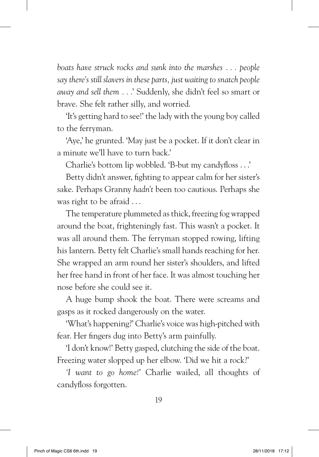*boats have struck rocks and sunk into the marshes . . . people say there's still slavers in these parts, just waiting to snatch people away and sell them . . .*' Suddenly, she didn't feel so smart or brave. She felt rather silly, and worried.

'It's getting hard to see!' the lady with the young boy called to the ferryman.

'Aye,' he grunted. 'May just be a pocket. If it don't clear in a minute we'll have to turn back.'

Charlie's bottom lip wobbled. 'B-but my candyfloss . . .'

Betty didn't answer, fighting to appear calm for her sister's sake. Perhaps Granny *hadn't* been too cautious. Perhaps she was right to be afraid ...

The temperature plummeted as thick, freezing fog wrapped around the boat, frighteningly fast. This wasn't a pocket. It was all around them. The ferryman stopped rowing, lifting his lantern. Betty felt Charlie's small hands reaching for her. She wrapped an arm round her sister's shoulders, and lifted her free hand in front of her face. It was almost touching her nose before she could see it.

A huge bump shook the boat. There were screams and gasps as it rocked dangerously on the water.

'What's happening?' Charlie's voice was high-pitched with fear. Her fingers dug into Betty's arm painfully.

'I don't know!' Betty gasped, clutching the side of the boat. Freezing water slopped up her elbow. 'Did we hit a rock?'

*'I want to go home!*' Charlie wailed, all thoughts of candyfloss forgotten.